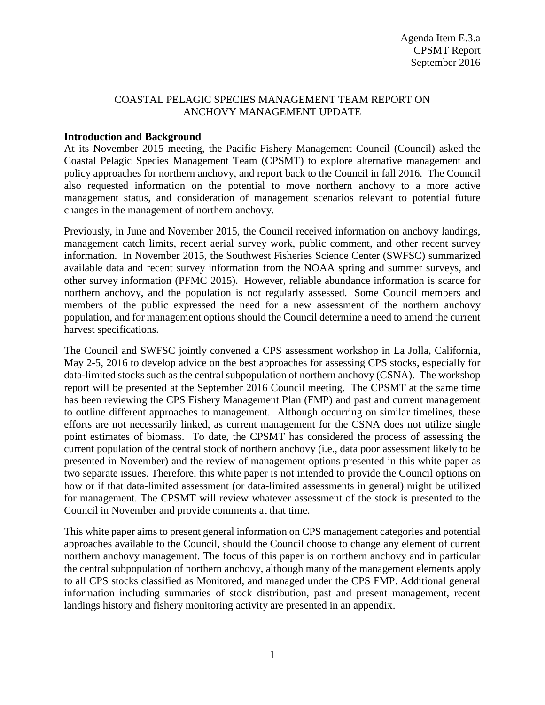## COASTAL PELAGIC SPECIES MANAGEMENT TEAM REPORT ON ANCHOVY MANAGEMENT UPDATE

#### **Introduction and Background**

At its November 2015 meeting, the Pacific Fishery Management Council (Council) asked the Coastal Pelagic Species Management Team (CPSMT) to explore alternative management and policy approaches for northern anchovy, and report back to the Council in fall 2016. The Council also requested information on the potential to move northern anchovy to a more active management status, and consideration of management scenarios relevant to potential future changes in the management of northern anchovy.

Previously, in June and November 2015, the Council received information on anchovy landings, management catch limits, recent aerial survey work, public comment, and other recent survey information. In November 2015, the Southwest Fisheries Science Center (SWFSC) summarized available data and recent survey information from the NOAA spring and summer surveys, and other survey information (PFMC 2015). However, reliable abundance information is scarce for northern anchovy, and the population is not regularly assessed. Some Council members and members of the public expressed the need for a new assessment of the northern anchovy population, and for management options should the Council determine a need to amend the current harvest specifications.

The Council and SWFSC jointly convened a CPS assessment workshop in La Jolla, California, May 2-5, 2016 to develop advice on the best approaches for assessing CPS stocks, especially for data-limited stocks such as the central subpopulation of northern anchovy (CSNA). The workshop report will be presented at the September 2016 Council meeting. The CPSMT at the same time has been reviewing the CPS Fishery Management Plan (FMP) and past and current management to outline different approaches to management. Although occurring on similar timelines, these efforts are not necessarily linked, as current management for the CSNA does not utilize single point estimates of biomass. To date, the CPSMT has considered the process of assessing the current population of the central stock of northern anchovy (i.e., data poor assessment likely to be presented in November) and the review of management options presented in this white paper as two separate issues. Therefore, this white paper is not intended to provide the Council options on how or if that data-limited assessment (or data-limited assessments in general) might be utilized for management. The CPSMT will review whatever assessment of the stock is presented to the Council in November and provide comments at that time.

This white paper aims to present general information on CPS management categories and potential approaches available to the Council, should the Council choose to change any element of current northern anchovy management. The focus of this paper is on northern anchovy and in particular the central subpopulation of northern anchovy, although many of the management elements apply to all CPS stocks classified as Monitored, and managed under the CPS FMP. Additional general information including summaries of stock distribution, past and present management, recent landings history and fishery monitoring activity are presented in an appendix.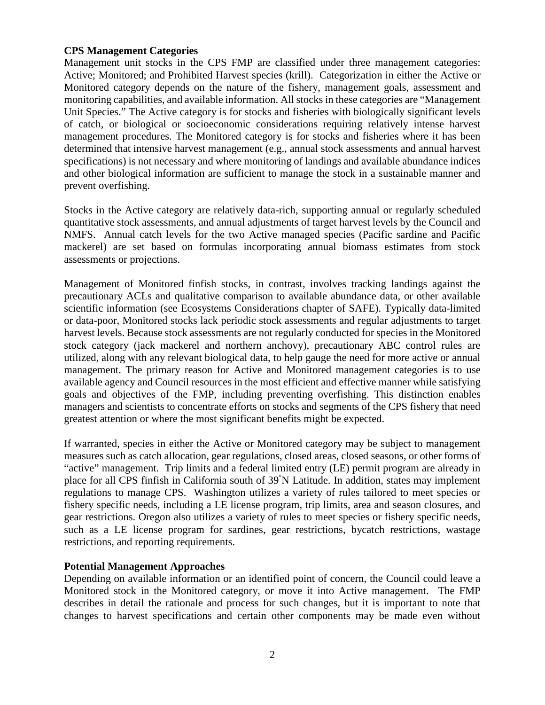#### **CPS Management Categories**

Management unit stocks in the CPS FMP are classified under three management categories: Active; Monitored; and Prohibited Harvest species (krill). Categorization in either the Active or Monitored category depends on the nature of the fishery, management goals, assessment and monitoring capabilities, and available information. All stocks in these categories are "Management Unit Species." The Active category is for stocks and fisheries with biologically significant levels of catch, or biological or socioeconomic considerations requiring relatively intense harvest management procedures. The Monitored category is for stocks and fisheries where it has been determined that intensive harvest management (e.g., annual stock assessments and annual harvest specifications) is not necessary and where monitoring of landings and available abundance indices and other biological information are sufficient to manage the stock in a sustainable manner and prevent overfishing.

Stocks in the Active category are relatively data-rich, supporting annual or regularly scheduled quantitative stock assessments, and annual adjustments of target harvest levels by the Council and NMFS. Annual catch levels for the two Active managed species (Pacific sardine and Pacific mackerel) are set based on formulas incorporating annual biomass estimates from stock assessments or projections.

Management of Monitored finfish stocks, in contrast, involves tracking landings against the precautionary ACLs and qualitative comparison to available abundance data, or other available scientific information (see Ecosystems Considerations chapter of SAFE). Typically data-limited or data-poor, Monitored stocks lack periodic stock assessments and regular adjustments to target harvest levels. Because stock assessments are not regularly conducted for species in the Monitored stock category (jack mackerel and northern anchovy), precautionary ABC control rules are utilized, along with any relevant biological data, to help gauge the need for more active or annual management. The primary reason for Active and Monitored management categories is to use available agency and Council resources in the most efficient and effective manner while satisfying goals and objectives of the FMP, including preventing overfishing. This distinction enables managers and scientists to concentrate efforts on stocks and segments of the CPS fishery that need greatest attention or where the most significant benefits might be expected.

If warranted, species in either the Active or Monitored category may be subject to management measures such as catch allocation, gear regulations, closed areas, closed seasons, or other forms of "active" management. Trip limits and a federal limited entry (LE) permit program are already in place for all CPS finfish in California south of 39° N Latitude. In addition, states may implement regulations to manage CPS. Washington utilizes a variety of rules tailored to meet species or fishery specific needs, including a LE license program, trip limits, area and season closures, and gear restrictions. Oregon also utilizes a variety of rules to meet species or fishery specific needs, such as a LE license program for sardines, gear restrictions, bycatch restrictions, wastage restrictions, and reporting requirements.

#### **Potential Management Approaches**

Depending on available information or an identified point of concern, the Council could leave a Monitored stock in the Monitored category, or move it into Active management. The FMP describes in detail the rationale and process for such changes, but it is important to note that changes to harvest specifications and certain other components may be made even without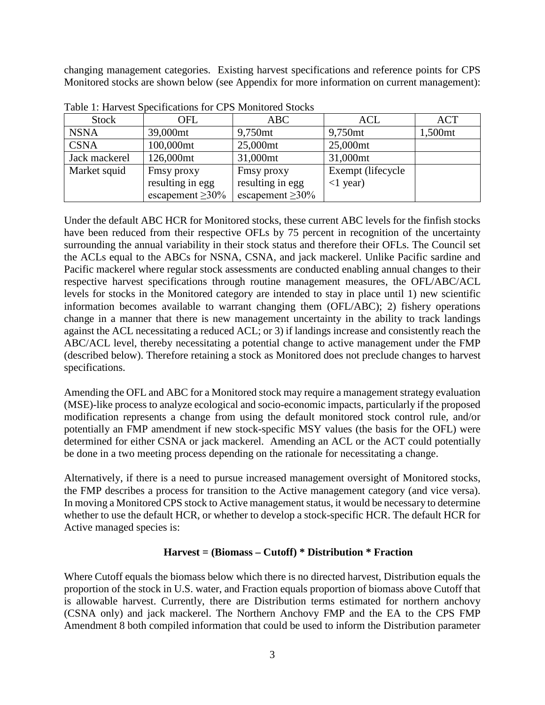changing management categories. Existing harvest specifications and reference points for CPS Monitored stocks are shown below (see Appendix for more information on current management):

| <b>Stock</b>  | OFL                    | <b>ABC</b>             | <b>ACL</b>          | <b>ACT</b>          |
|---------------|------------------------|------------------------|---------------------|---------------------|
| <b>NSNA</b>   | 39,000mt               | 9,750 <sub>mt</sub>    | 9,750 <sub>mt</sub> | 1,500 <sub>mt</sub> |
| <b>CSNA</b>   | 100,000mt              | 25,000mt               | 25,000mt            |                     |
| Jack mackerel | 126,000mt              | 31,000mt               | 31,000mt            |                     |
| Market squid  | Fmsy proxy             | Finsy proxy            | Exempt (lifecycle   |                     |
|               | resulting in egg       | resulting in egg       | $<1$ year)          |                     |
|               | escapement $\geq 30\%$ | escapement $\geq 30\%$ |                     |                     |

Table 1: Harvest Specifications for CPS Monitored Stocks

Under the default ABC HCR for Monitored stocks, these current ABC levels for the finfish stocks have been reduced from their respective OFLs by 75 percent in recognition of the uncertainty surrounding the annual variability in their stock status and therefore their OFLs. The Council set the ACLs equal to the ABCs for NSNA, CSNA, and jack mackerel. Unlike Pacific sardine and Pacific mackerel where regular stock assessments are conducted enabling annual changes to their respective harvest specifications through routine management measures, the OFL/ABC/ACL levels for stocks in the Monitored category are intended to stay in place until 1) new scientific information becomes available to warrant changing them (OFL/ABC); 2) fishery operations change in a manner that there is new management uncertainty in the ability to track landings against the ACL necessitating a reduced ACL; or 3) if landings increase and consistently reach the ABC/ACL level, thereby necessitating a potential change to active management under the FMP (described below). Therefore retaining a stock as Monitored does not preclude changes to harvest specifications.

Amending the OFL and ABC for a Monitored stock may require a management strategy evaluation (MSE)-like process to analyze ecological and socio-economic impacts, particularly if the proposed modification represents a change from using the default monitored stock control rule, and/or potentially an FMP amendment if new stock-specific MSY values (the basis for the OFL) were determined for either CSNA or jack mackerel. Amending an ACL or the ACT could potentially be done in a two meeting process depending on the rationale for necessitating a change.

Alternatively, if there is a need to pursue increased management oversight of Monitored stocks, the FMP describes a process for transition to the Active management category (and vice versa). In moving a Monitored CPS stock to Active management status, it would be necessary to determine whether to use the default HCR, or whether to develop a stock-specific HCR. The default HCR for Active managed species is:

# **Harvest = (Biomass – Cutoff) \* Distribution \* Fraction**

Where Cutoff equals the biomass below which there is no directed harvest, Distribution equals the proportion of the stock in U.S. water, and Fraction equals proportion of biomass above Cutoff that is allowable harvest. Currently, there are Distribution terms estimated for northern anchovy (CSNA only) and jack mackerel. The Northern Anchovy FMP and the EA to the CPS FMP Amendment 8 both compiled information that could be used to inform the Distribution parameter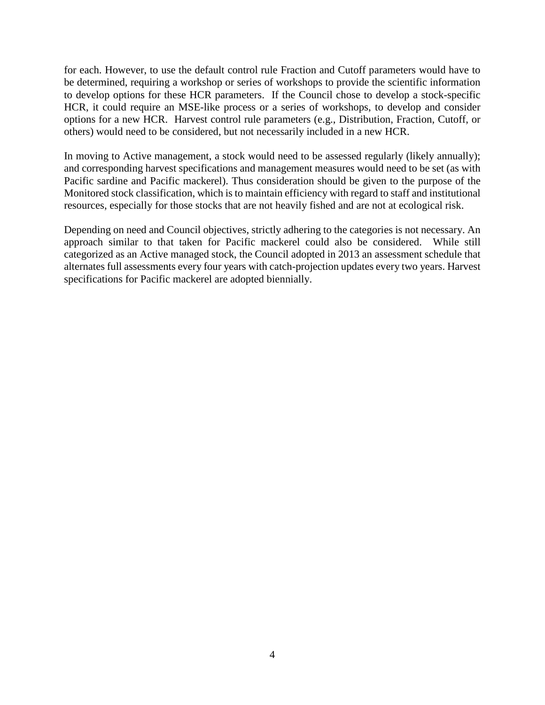for each. However, to use the default control rule Fraction and Cutoff parameters would have to be determined, requiring a workshop or series of workshops to provide the scientific information to develop options for these HCR parameters. If the Council chose to develop a stock-specific HCR, it could require an MSE-like process or a series of workshops, to develop and consider options for a new HCR. Harvest control rule parameters (e.g., Distribution, Fraction, Cutoff, or others) would need to be considered, but not necessarily included in a new HCR.

In moving to Active management, a stock would need to be assessed regularly (likely annually); and corresponding harvest specifications and management measures would need to be set (as with Pacific sardine and Pacific mackerel). Thus consideration should be given to the purpose of the Monitored stock classification, which is to maintain efficiency with regard to staff and institutional resources, especially for those stocks that are not heavily fished and are not at ecological risk.

Depending on need and Council objectives, strictly adhering to the categories is not necessary. An approach similar to that taken for Pacific mackerel could also be considered. While still categorized as an Active managed stock, the Council adopted in 2013 an assessment schedule that alternates full assessments every four years with catch-projection updates every two years. Harvest specifications for Pacific mackerel are adopted biennially.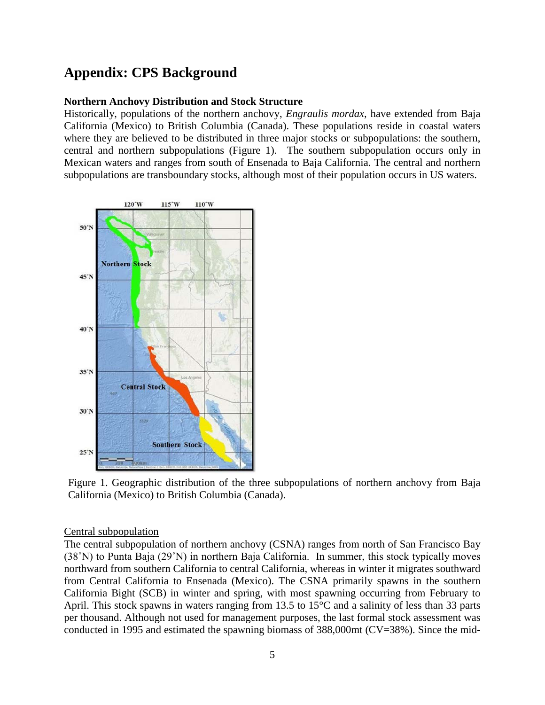# **Appendix: CPS Background**

#### **Northern Anchovy Distribution and Stock Structure**

Historically, populations of the northern anchovy, *Engraulis mordax*, have extended from Baja California (Mexico) to British Columbia (Canada). These populations reside in coastal waters where they are believed to be distributed in three major stocks or subpopulations: the southern, central and northern subpopulations (Figure 1). The southern subpopulation occurs only in Mexican waters and ranges from south of Ensenada to Baja California. The central and northern subpopulations are transboundary stocks, although most of their population occurs in US waters.



Figure 1. Geographic distribution of the three subpopulations of northern anchovy from Baja California (Mexico) to British Columbia (Canada).

#### Central subpopulation

The central subpopulation of northern anchovy (CSNA) ranges from north of San Francisco Bay (38˚N) to Punta Baja (29˚N) in northern Baja California. In summer, this stock typically moves northward from southern California to central California, whereas in winter it migrates southward from Central California to Ensenada (Mexico). The CSNA primarily spawns in the southern California Bight (SCB) in winter and spring, with most spawning occurring from February to April. This stock spawns in waters ranging from 13.5 to 15°C and a salinity of less than 33 parts per thousand. Although not used for management purposes, the last formal stock assessment was conducted in 1995 and estimated the spawning biomass of 388,000mt (CV=38%). Since the mid-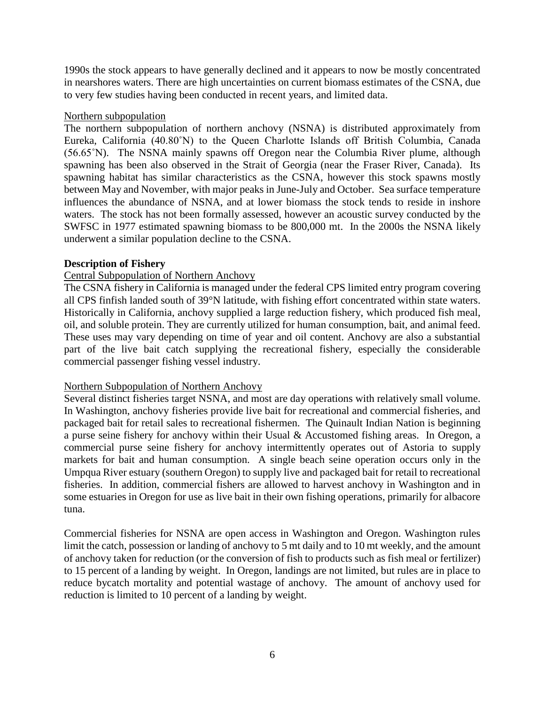1990s the stock appears to have generally declined and it appears to now be mostly concentrated in nearshores waters. There are high uncertainties on current biomass estimates of the CSNA, due to very few studies having been conducted in recent years, and limited data.

## Northern subpopulation

The northern subpopulation of northern anchovy (NSNA) is distributed approximately from Eureka, California (40.80˚N) to the Queen Charlotte Islands off British Columbia, Canada (56.65˚N). The NSNA mainly spawns off Oregon near the Columbia River plume, although spawning has been also observed in the Strait of Georgia (near the Fraser River, Canada). Its spawning habitat has similar characteristics as the CSNA, however this stock spawns mostly between May and November, with major peaks in June-July and October. Sea surface temperature influences the abundance of NSNA, and at lower biomass the stock tends to reside in inshore waters. The stock has not been formally assessed, however an acoustic survey conducted by the SWFSC in 1977 estimated spawning biomass to be 800,000 mt. In the 2000s the NSNA likely underwent a similar population decline to the CSNA.

## **Description of Fishery**

## Central Subpopulation of Northern Anchovy

The CSNA fishery in California is managed under the federal CPS limited entry program covering all CPS finfish landed south of 39°N latitude, with fishing effort concentrated within state waters. Historically in California, anchovy supplied a large reduction fishery, which produced fish meal, oil, and soluble protein. They are currently utilized for human consumption, bait, and animal feed. These uses may vary depending on time of year and oil content. Anchovy are also a substantial part of the live bait catch supplying the recreational fishery, especially the considerable commercial passenger fishing vessel industry.

# Northern Subpopulation of Northern Anchovy

Several distinct fisheries target NSNA, and most are day operations with relatively small volume. In Washington, anchovy fisheries provide live bait for recreational and commercial fisheries, and packaged bait for retail sales to recreational fishermen. The Quinault Indian Nation is beginning a purse seine fishery for anchovy within their Usual & Accustomed fishing areas. In Oregon, a commercial purse seine fishery for anchovy intermittently operates out of Astoria to supply markets for bait and human consumption. A single beach seine operation occurs only in the Umpqua River estuary (southern Oregon) to supply live and packaged bait for retail to recreational fisheries. In addition, commercial fishers are allowed to harvest anchovy in Washington and in some estuaries in Oregon for use as live bait in their own fishing operations, primarily for albacore tuna.

Commercial fisheries for NSNA are open access in Washington and Oregon. Washington rules limit the catch, possession or landing of anchovy to 5 mt daily and to 10 mt weekly, and the amount of anchovy taken for reduction (or the conversion of fish to products such as fish meal or fertilizer) to 15 percent of a landing by weight. In Oregon, landings are not limited, but rules are in place to reduce bycatch mortality and potential wastage of anchovy. The amount of anchovy used for reduction is limited to 10 percent of a landing by weight.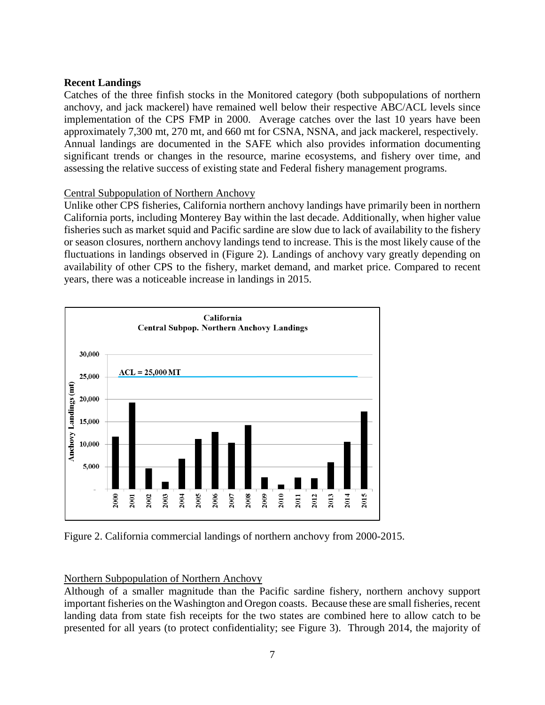## **Recent Landings**

Catches of the three finfish stocks in the Monitored category (both subpopulations of northern anchovy, and jack mackerel) have remained well below their respective ABC/ACL levels since implementation of the CPS FMP in 2000. Average catches over the last 10 years have been approximately 7,300 mt, 270 mt, and 660 mt for CSNA, NSNA, and jack mackerel, respectively. Annual landings are documented in the SAFE which also provides information documenting significant trends or changes in the resource, marine ecosystems, and fishery over time, and assessing the relative success of existing state and Federal fishery management programs.

# Central Subpopulation of Northern Anchovy

Unlike other CPS fisheries, California northern anchovy landings have primarily been in northern California ports, including Monterey Bay within the last decade. Additionally, when higher value fisheries such as market squid and Pacific sardine are slow due to lack of availability to the fishery or season closures, northern anchovy landings tend to increase. This is the most likely cause of the fluctuations in landings observed in (Figure 2). Landings of anchovy vary greatly depending on availability of other CPS to the fishery, market demand, and market price. Compared to recent years, there was a noticeable increase in landings in 2015.



Figure 2. California commercial landings of northern anchovy from 2000-2015.

# Northern Subpopulation of Northern Anchovy

Although of a smaller magnitude than the Pacific sardine fishery, northern anchovy support important fisheries on the Washington and Oregon coasts. Because these are small fisheries, recent landing data from state fish receipts for the two states are combined here to allow catch to be presented for all years (to protect confidentiality; see Figure 3). Through 2014, the majority of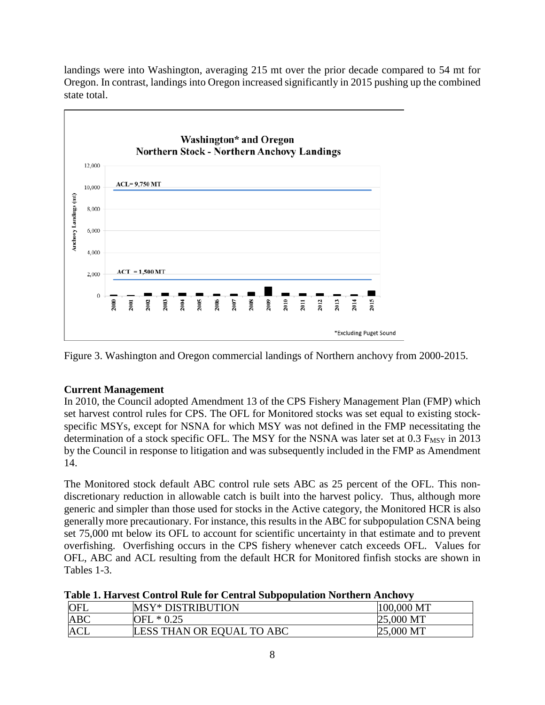landings were into Washington, averaging 215 mt over the prior decade compared to 54 mt for Oregon. In contrast, landings into Oregon increased significantly in 2015 pushing up the combined state total.



Figure 3. Washington and Oregon commercial landings of Northern anchovy from 2000-2015.

# **Current Management**

In 2010, the Council adopted Amendment 13 of the CPS Fishery Management Plan (FMP) which set harvest control rules for CPS. The OFL for Monitored stocks was set equal to existing stockspecific MSYs, except for NSNA for which MSY was not defined in the FMP necessitating the determination of a stock specific OFL. The MSY for the NSNA was later set at  $0.3$   $F_{MSY}$  in 2013 by the Council in response to litigation and was subsequently included in the FMP as Amendment 14.

The Monitored stock default ABC control rule sets ABC as 25 percent of the OFL. This nondiscretionary reduction in allowable catch is built into the harvest policy. Thus, although more generic and simpler than those used for stocks in the Active category, the Monitored HCR is also generally more precautionary. For instance, this results in the ABC for subpopulation CSNA being set 75,000 mt below its OFL to account for scientific uncertainty in that estimate and to prevent overfishing. Overfishing occurs in the CPS fishery whenever catch exceeds OFL. Values for OFL, ABC and ACL resulting from the default HCR for Monitored finfish stocks are shown in Tables 1-3.

|  |  | Table 1. Harvest Control Rule for Central Subpopulation Northern Anchovy |  |
|--|--|--------------------------------------------------------------------------|--|
|  |  |                                                                          |  |
|  |  |                                                                          |  |
|  |  |                                                                          |  |

| <b>OFL</b> | <b>MSY* DISTRIBUTION</b>  | 100,000 MT |
|------------|---------------------------|------------|
| <b>ABC</b> | $*0.25$<br>OFL            | 25,000 MT  |
| <b>ACL</b> | LESS THAN OR EQUAL TO ABC | 25,000 MT  |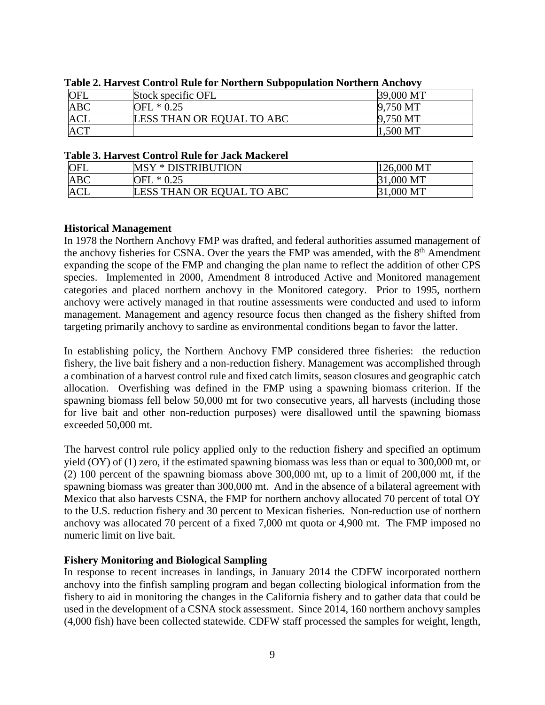| <b>OFL</b> | Stock specific OFL        | 39,000 MT |
|------------|---------------------------|-----------|
| <b>ABC</b> | OFL * 0.25                | 9,750 MT  |
| <b>ACL</b> | LESS THAN OR EQUAL TO ABC | 9,750 MT  |
| <b>ACT</b> |                           | 1,500 MT  |

**Table 2. Harvest Control Rule for Northern Subpopulation Northern Anchovy**

#### **Table 3. Harvest Control Rule for Jack Mackerel**

| OFL        | <b>MSY * DISTRIBUTION</b> | 126,000 MT |
|------------|---------------------------|------------|
| <b>ABC</b> | $\sim^* 0.25$<br>OFL      | 31,000 MT  |
| <b>ACL</b> | LESS THAN OR EQUAL TO ABC | 31,000 MT  |

## **Historical Management**

In 1978 the Northern Anchovy FMP was drafted, and federal authorities assumed management of the anchovy fisheries for CSNA. Over the years the FMP was amended, with the  $8<sup>th</sup>$  Amendment expanding the scope of the FMP and changing the plan name to reflect the addition of other CPS species. Implemented in 2000, Amendment 8 introduced Active and Monitored management categories and placed northern anchovy in the Monitored category. Prior to 1995, northern anchovy were actively managed in that routine assessments were conducted and used to inform management. Management and agency resource focus then changed as the fishery shifted from targeting primarily anchovy to sardine as environmental conditions began to favor the latter.

In establishing policy, the Northern Anchovy FMP considered three fisheries: the reduction fishery, the live bait fishery and a non-reduction fishery. Management was accomplished through a combination of a harvest control rule and fixed catch limits, season closures and geographic catch allocation. Overfishing was defined in the FMP using a spawning biomass criterion. If the spawning biomass fell below 50,000 mt for two consecutive years, all harvests (including those for live bait and other non-reduction purposes) were disallowed until the spawning biomass exceeded 50,000 mt.

The harvest control rule policy applied only to the reduction fishery and specified an optimum yield (OY) of (1) zero, if the estimated spawning biomass was less than or equal to 300,000 mt, or (2) 100 percent of the spawning biomass above 300,000 mt, up to a limit of 200,000 mt, if the spawning biomass was greater than 300,000 mt. And in the absence of a bilateral agreement with Mexico that also harvests CSNA, the FMP for northern anchovy allocated 70 percent of total OY to the U.S. reduction fishery and 30 percent to Mexican fisheries. Non-reduction use of northern anchovy was allocated 70 percent of a fixed 7,000 mt quota or 4,900 mt. The FMP imposed no numeric limit on live bait.

## **Fishery Monitoring and Biological Sampling**

In response to recent increases in landings, in January 2014 the CDFW incorporated northern anchovy into the finfish sampling program and began collecting biological information from the fishery to aid in monitoring the changes in the California fishery and to gather data that could be used in the development of a CSNA stock assessment. Since 2014, 160 northern anchovy samples (4,000 fish) have been collected statewide. CDFW staff processed the samples for weight, length,